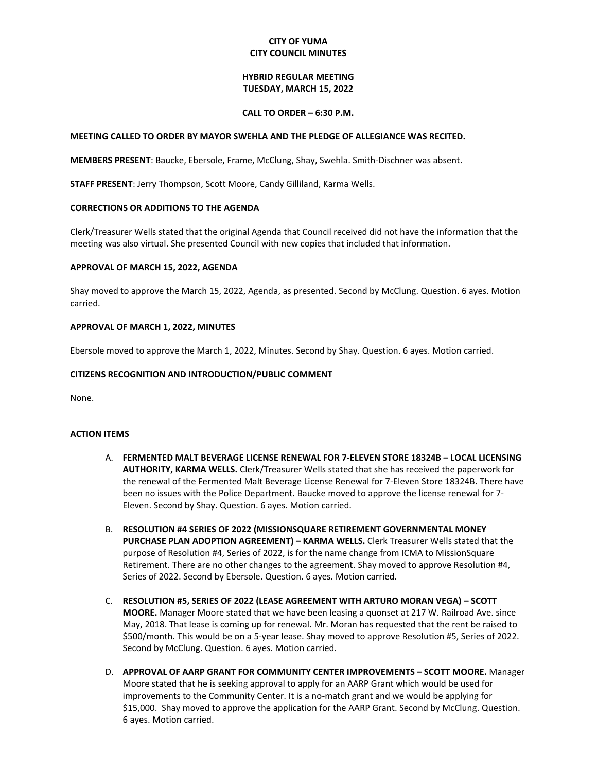### **CITY OF YUMA CITY COUNCIL MINUTES**

### **HYBRID REGULAR MEETING TUESDAY, MARCH 15, 2022**

#### **CALL TO ORDER – 6:30 P.M.**

#### **MEETING CALLED TO ORDER BY MAYOR SWEHLA AND THE PLEDGE OF ALLEGIANCE WAS RECITED.**

**MEMBERS PRESENT**: Baucke, Ebersole, Frame, McClung, Shay, Swehla. Smith-Dischner was absent.

**STAFF PRESENT**: Jerry Thompson, Scott Moore, Candy Gilliland, Karma Wells.

### **CORRECTIONS OR ADDITIONS TO THE AGENDA**

Clerk/Treasurer Wells stated that the original Agenda that Council received did not have the information that the meeting was also virtual. She presented Council with new copies that included that information.

#### **APPROVAL OF MARCH 15, 2022, AGENDA**

Shay moved to approve the March 15, 2022, Agenda, as presented. Second by McClung. Question. 6 ayes. Motion carried.

#### **APPROVAL OF MARCH 1, 2022, MINUTES**

Ebersole moved to approve the March 1, 2022, Minutes. Second by Shay. Question. 6 ayes. Motion carried.

### **CITIZENS RECOGNITION AND INTRODUCTION/PUBLIC COMMENT**

None.

#### **ACTION ITEMS**

- A. **FERMENTED MALT BEVERAGE LICENSE RENEWAL FOR 7-ELEVEN STORE 18324B – LOCAL LICENSING AUTHORITY, KARMA WELLS.** Clerk/Treasurer Wells stated that she has received the paperwork for the renewal of the Fermented Malt Beverage License Renewal for 7-Eleven Store 18324B. There have been no issues with the Police Department. Baucke moved to approve the license renewal for 7- Eleven. Second by Shay. Question. 6 ayes. Motion carried.
- B. **RESOLUTION #4 SERIES OF 2022 (MISSIONSQUARE RETIREMENT GOVERNMENTAL MONEY PURCHASE PLAN ADOPTION AGREEMENT) – KARMA WELLS.** Clerk Treasurer Wells stated that the purpose of Resolution #4, Series of 2022, is for the name change from ICMA to MissionSquare Retirement. There are no other changes to the agreement. Shay moved to approve Resolution #4, Series of 2022. Second by Ebersole. Question. 6 ayes. Motion carried.
- C. **RESOLUTION #5, SERIES OF 2022 (LEASE AGREEMENT WITH ARTURO MORAN VEGA) – SCOTT MOORE.** Manager Moore stated that we have been leasing a quonset at 217 W. Railroad Ave. since May, 2018. That lease is coming up for renewal. Mr. Moran has requested that the rent be raised to \$500/month. This would be on a 5-year lease. Shay moved to approve Resolution #5, Series of 2022. Second by McClung. Question. 6 ayes. Motion carried.
- D. **APPROVAL OF AARP GRANT FOR COMMUNITY CENTER IMPROVEMENTS – SCOTT MOORE.** Manager Moore stated that he is seeking approval to apply for an AARP Grant which would be used for improvements to the Community Center. It is a no-match grant and we would be applying for \$15,000. Shay moved to approve the application for the AARP Grant. Second by McClung. Question. 6 ayes. Motion carried.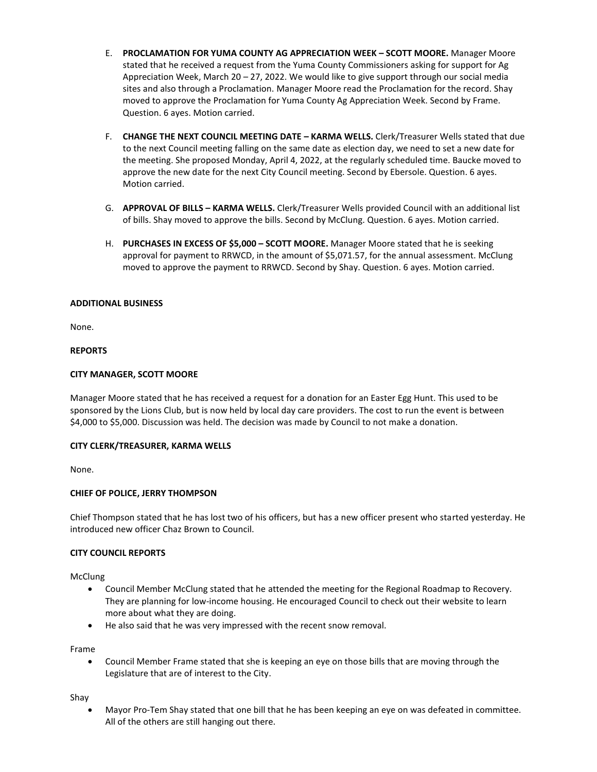- E. **PROCLAMATION FOR YUMA COUNTY AG APPRECIATION WEEK – SCOTT MOORE.** Manager Moore stated that he received a request from the Yuma County Commissioners asking for support for Ag Appreciation Week, March 20 – 27, 2022. We would like to give support through our social media sites and also through a Proclamation. Manager Moore read the Proclamation for the record. Shay moved to approve the Proclamation for Yuma County Ag Appreciation Week. Second by Frame. Question. 6 ayes. Motion carried.
- F. **CHANGE THE NEXT COUNCIL MEETING DATE – KARMA WELLS.** Clerk/Treasurer Wells stated that due to the next Council meeting falling on the same date as election day, we need to set a new date for the meeting. She proposed Monday, April 4, 2022, at the regularly scheduled time. Baucke moved to approve the new date for the next City Council meeting. Second by Ebersole. Question. 6 ayes. Motion carried.
- G. **APPROVAL OF BILLS – KARMA WELLS.** Clerk/Treasurer Wells provided Council with an additional list of bills. Shay moved to approve the bills. Second by McClung. Question. 6 ayes. Motion carried.
- H. **PURCHASES IN EXCESS OF \$5,000 – SCOTT MOORE.** Manager Moore stated that he is seeking approval for payment to RRWCD, in the amount of \$5,071.57, for the annual assessment. McClung moved to approve the payment to RRWCD. Second by Shay. Question. 6 ayes. Motion carried.

# **ADDITIONAL BUSINESS**

None.

# **REPORTS**

# **CITY MANAGER, SCOTT MOORE**

Manager Moore stated that he has received a request for a donation for an Easter Egg Hunt. This used to be sponsored by the Lions Club, but is now held by local day care providers. The cost to run the event is between \$4,000 to \$5,000. Discussion was held. The decision was made by Council to not make a donation.

# **CITY CLERK/TREASURER, KARMA WELLS**

None.

# **CHIEF OF POLICE, JERRY THOMPSON**

Chief Thompson stated that he has lost two of his officers, but has a new officer present who started yesterday. He introduced new officer Chaz Brown to Council.

# **CITY COUNCIL REPORTS**

McClung

- Council Member McClung stated that he attended the meeting for the Regional Roadmap to Recovery. They are planning for low-income housing. He encouraged Council to check out their website to learn more about what they are doing.
- He also said that he was very impressed with the recent snow removal.

Frame

• Council Member Frame stated that she is keeping an eye on those bills that are moving through the Legislature that are of interest to the City.

Shay

• Mayor Pro-Tem Shay stated that one bill that he has been keeping an eye on was defeated in committee. All of the others are still hanging out there.